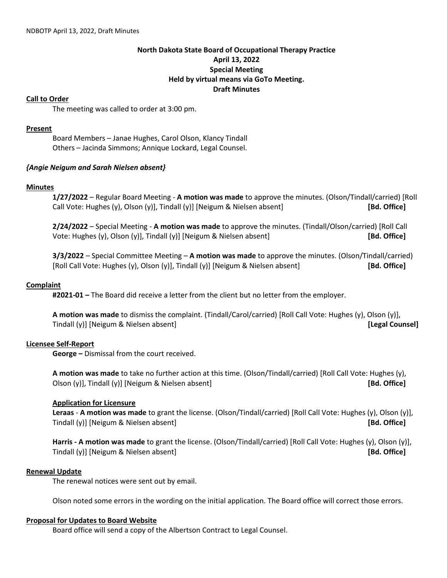# **North Dakota State Board of Occupational Therapy Practice April 13, 2022 Special Meeting Held by virtual means via GoTo Meeting. Draft Minutes**

### **Call to Order**

The meeting was called to order at 3:00 pm.

### **Present**

Board Members – Janae Hughes, Carol Olson, Klancy Tindall Others – Jacinda Simmons; Annique Lockard, Legal Counsel.

### *{Angie Neigum and Sarah Nielsen absent}*

### **Minutes**

**1/27/2022** – Regular Board Meeting - **A motion was made** to approve the minutes. (Olson/Tindall/carried) [Roll Call Vote: Hughes (y), Olson (y)], Tindall (y)] [Neigum & Nielsen absent] **[Bd. Office]**

**2/24/2022** – Special Meeting - **A motion was made** to approve the minutes. (Tindall/Olson/carried) [Roll Call Vote: Hughes (y), Olson (y)], Tindall (y)] [Neigum & Nielsen absent] **[Bd. Office]**

**3/3/2022** – Special Committee Meeting – **A motion was made** to approve the minutes. (Olson/Tindall/carried) [Roll Call Vote: Hughes (y), Olson (y)], Tindall (y)] [Neigum & Nielsen absent] **[Bd. Office]**

### **Complaint**

**#2021-01 –** The Board did receive a letter from the client but no letter from the employer.

**A motion was made** to dismiss the complaint. (Tindall/Carol/carried) [Roll Call Vote: Hughes (y), Olson (y)], Tindall (y)] [Neigum & Nielsen absent] **[Legal Counsel]**

# **Licensee Self-Report**

**George –** Dismissal from the court received.

**A motion was made** to take no further action at this time. (Olson/Tindall/carried) [Roll Call Vote: Hughes (y), Olson (y)], Tindall (y)] [Neigum & Nielsen absent] **[Bd. Office]**

#### **Application for Licensure**

**Leraas** - **A motion was made** to grant the license. (Olson/Tindall/carried) [Roll Call Vote: Hughes (y), Olson (y)], Tindall (y)] [Neigum & Nielsen absent] **[Bd. Office]**

**Harris - A motion was made** to grant the license. (Olson/Tindall/carried) [Roll Call Vote: Hughes (y), Olson (y)], Tindall (y)] [Neigum & Nielsen absent] **[Bd. Office]**

# **Renewal Update**

The renewal notices were sent out by email.

Olson noted some errors in the wording on the initial application. The Board office will correct those errors.

#### **Proposal for Updates to Board Website**

Board office will send a copy of the Albertson Contract to Legal Counsel.